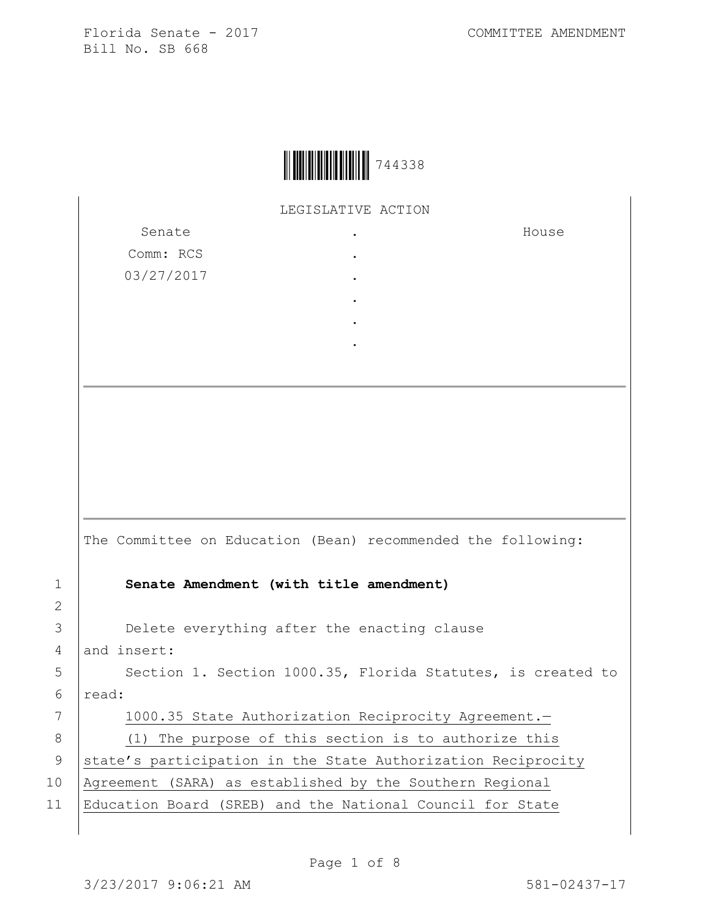

LEGISLATIVE ACTION

. . . . . .

Senate Comm: RCS 03/27/2017 House

|                | The Committee on Education (Bean) recommended the following: |
|----------------|--------------------------------------------------------------|
| $\mathbf{1}$   | Senate Amendment (with title amendment)                      |
| $\overline{2}$ |                                                              |
| 3              | Delete everything after the enacting clause                  |
| 4              | and insert:                                                  |
| 5              | Section 1. Section 1000.35, Florida Statutes, is created to  |
| 6              | read:                                                        |
| 7              | 1000.35 State Authorization Reciprocity Agreement.-          |
| 8              | (1) The purpose of this section is to authorize this         |
| 9              | state's participation in the State Authorization Reciprocity |
| 10             | Agreement (SARA) as established by the Southern Regional     |
| 11             | Education Board (SREB) and the National Council for State    |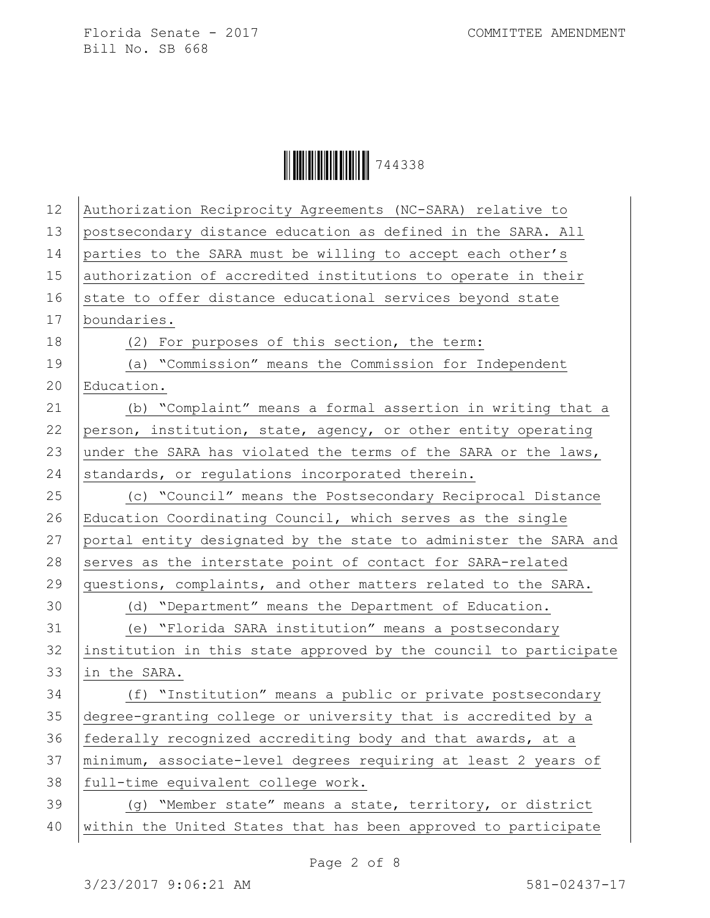| 12 | Authorization Reciprocity Agreements (NC-SARA) relative to       |
|----|------------------------------------------------------------------|
| 13 | postsecondary distance education as defined in the SARA. All     |
| 14 | parties to the SARA must be willing to accept each other's       |
| 15 | authorization of accredited institutions to operate in their     |
| 16 | state to offer distance educational services beyond state        |
| 17 | boundaries.                                                      |
| 18 | (2) For purposes of this section, the term:                      |
| 19 | (a) "Commission" means the Commission for Independent            |
| 20 | Education.                                                       |
| 21 | (b) "Complaint" means a formal assertion in writing that a       |
| 22 | person, institution, state, agency, or other entity operating    |
| 23 | under the SARA has violated the terms of the SARA or the laws,   |
| 24 | standards, or regulations incorporated therein.                  |
| 25 | (c) "Council" means the Postsecondary Reciprocal Distance        |
| 26 | Education Coordinating Council, which serves as the single       |
| 27 | portal entity designated by the state to administer the SARA and |
| 28 | serves as the interstate point of contact for SARA-related       |
| 29 | questions, complaints, and other matters related to the SARA.    |
| 30 | (d) "Department" means the Department of Education.              |
| 31 | (e) "Florida SARA institution" means a postsecondary             |
| 32 | institution in this state approved by the council to participate |
| 33 | in the SARA.                                                     |
| 34 | (f) "Institution" means a public or private postsecondary        |
| 35 | degree-granting college or university that is accredited by a    |
| 36 | federally recognized accrediting body and that awards, at a      |
| 37 | minimum, associate-level degrees requiring at least 2 years of   |
| 38 | full-time equivalent college work.                               |
| 39 | (g) "Member state" means a state, territory, or district         |
| 40 | within the United States that has been approved to participate   |
|    |                                                                  |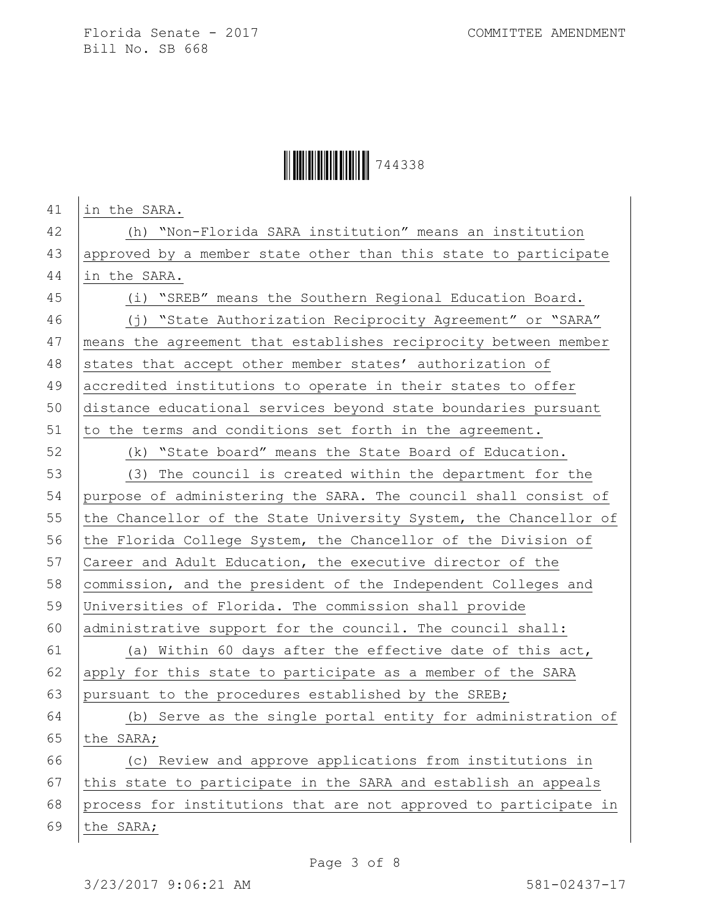| 41 | in the SARA.                                                     |
|----|------------------------------------------------------------------|
| 42 | (h) "Non-Florida SARA institution" means an institution          |
| 43 | approved by a member state other than this state to participate  |
| 44 | in the SARA.                                                     |
| 45 | (i) "SREB" means the Southern Regional Education Board.          |
| 46 | (j) "State Authorization Reciprocity Agreement" or "SARA"        |
| 47 | means the agreement that establishes reciprocity between member  |
| 48 | states that accept other member states' authorization of         |
| 49 | accredited institutions to operate in their states to offer      |
| 50 | distance educational services beyond state boundaries pursuant   |
| 51 | to the terms and conditions set forth in the agreement.          |
| 52 | (k) "State board" means the State Board of Education.            |
| 53 | (3) The council is created within the department for the         |
| 54 | purpose of administering the SARA. The council shall consist of  |
| 55 | the Chancellor of the State University System, the Chancellor of |
| 56 | the Florida College System, the Chancellor of the Division of    |
| 57 | Career and Adult Education, the executive director of the        |
| 58 | commission, and the president of the Independent Colleges and    |
| 59 | Universities of Florida. The commission shall provide            |
| 60 | administrative support for the council. The council shall:       |
| 61 | (a) Within 60 days after the effective date of this act,         |
| 62 | apply for this state to participate as a member of the SARA      |
| 63 | pursuant to the procedures established by the SREB;              |
| 64 | Serve as the single portal entity for administration of<br>(b)   |
| 65 | the SARA;                                                        |
| 66 | (c) Review and approve applications from institutions in         |
| 67 | this state to participate in the SARA and establish an appeals   |
| 68 | process for institutions that are not approved to participate in |
| 69 | the SARA;                                                        |
|    |                                                                  |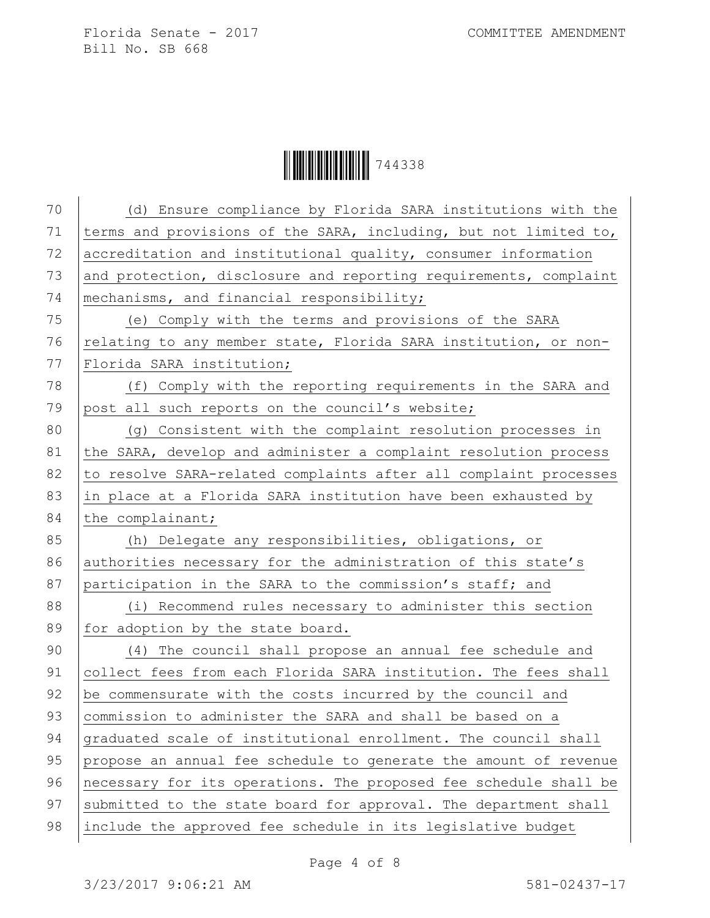| 70 | (d) Ensure compliance by Florida SARA institutions with the      |
|----|------------------------------------------------------------------|
| 71 | terms and provisions of the SARA, including, but not limited to, |
| 72 | accreditation and institutional quality, consumer information    |
| 73 | and protection, disclosure and reporting requirements, complaint |
| 74 | mechanisms, and financial responsibility;                        |
| 75 | (e) Comply with the terms and provisions of the SARA             |
| 76 | relating to any member state, Florida SARA institution, or non-  |
| 77 | Florida SARA institution;                                        |
| 78 | (f) Comply with the reporting requirements in the SARA and       |
| 79 | post all such reports on the council's website;                  |
| 80 | (g) Consistent with the complaint resolution processes in        |
| 81 | the SARA, develop and administer a complaint resolution process  |
| 82 | to resolve SARA-related complaints after all complaint processes |
| 83 | in place at a Florida SARA institution have been exhausted by    |
| 84 | the complainant;                                                 |
| 85 | (h) Delegate any responsibilities, obligations, or               |
| 86 | authorities necessary for the administration of this state's     |
| 87 | participation in the SARA to the commission's staff; and         |
| 88 | (i) Recommend rules necessary to administer this section         |
| 89 | for adoption by the state board.                                 |
| 90 |                                                                  |
|    | (4) The council shall propose an annual fee schedule and         |
| 91 | collect fees from each Florida SARA institution. The fees shall  |
| 92 | be commensurate with the costs incurred by the council and       |
| 93 | commission to administer the SARA and shall be based on a        |
| 94 | graduated scale of institutional enrollment. The council shall   |
| 95 | propose an annual fee schedule to generate the amount of revenue |
| 96 | necessary for its operations. The proposed fee schedule shall be |
| 97 | submitted to the state board for approval. The department shall  |
| 98 | include the approved fee schedule in its legislative budget      |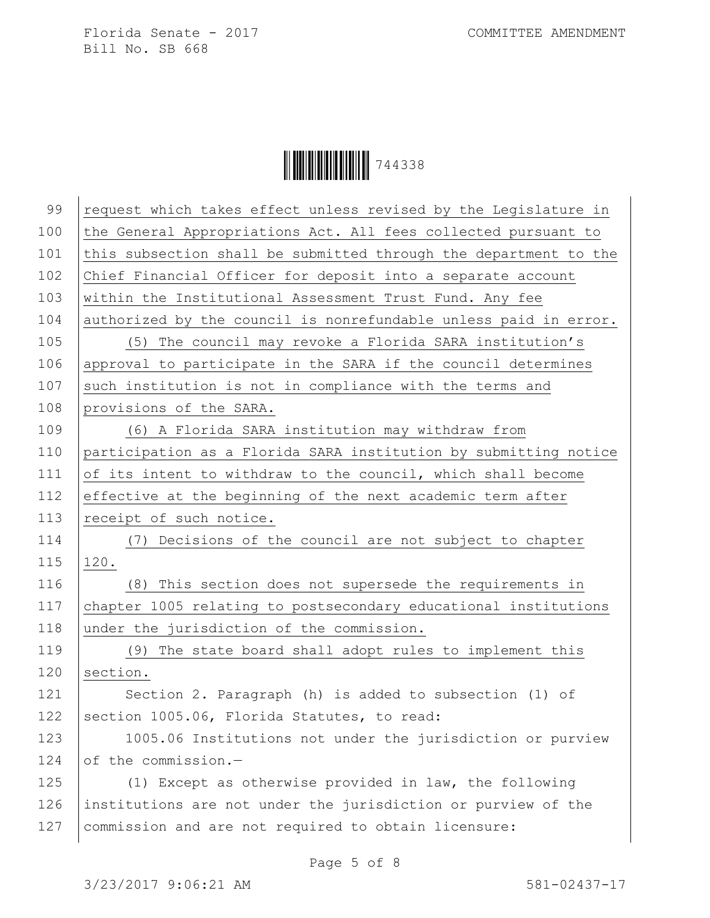| 99  | request which takes effect unless revised by the Legislature in  |
|-----|------------------------------------------------------------------|
| 100 | the General Appropriations Act. All fees collected pursuant to   |
| 101 | this subsection shall be submitted through the department to the |
| 102 | Chief Financial Officer for deposit into a separate account      |
| 103 | within the Institutional Assessment Trust Fund. Any fee          |
| 104 | authorized by the council is nonrefundable unless paid in error. |
| 105 | (5) The council may revoke a Florida SARA institution's          |
| 106 | approval to participate in the SARA if the council determines    |
| 107 | such institution is not in compliance with the terms and         |
| 108 | provisions of the SARA.                                          |
| 109 | (6) A Florida SARA institution may withdraw from                 |
| 110 | participation as a Florida SARA institution by submitting notice |
| 111 | of its intent to withdraw to the council, which shall become     |
| 112 | effective at the beginning of the next academic term after       |
| 113 | receipt of such notice.                                          |
| 114 | (7) Decisions of the council are not subject to chapter          |
| 115 | 120.                                                             |
| 116 | (8) This section does not supersede the requirements in          |
| 117 | chapter 1005 relating to postsecondary educational institutions  |
| 118 | under the jurisdiction of the commission.                        |
| 119 | (9) The state board shall adopt rules to implement this          |
| 120 | section.                                                         |
| 121 | Section 2. Paragraph (h) is added to subsection (1) of           |
| 122 | section 1005.06, Florida Statutes, to read:                      |
| 123 | 1005.06 Institutions not under the jurisdiction or purview       |
| 124 | of the commission.-                                              |
| 125 | (1) Except as otherwise provided in law, the following           |
| 126 | institutions are not under the jurisdiction or purview of the    |
| 127 | commission and are not required to obtain licensure:             |
|     |                                                                  |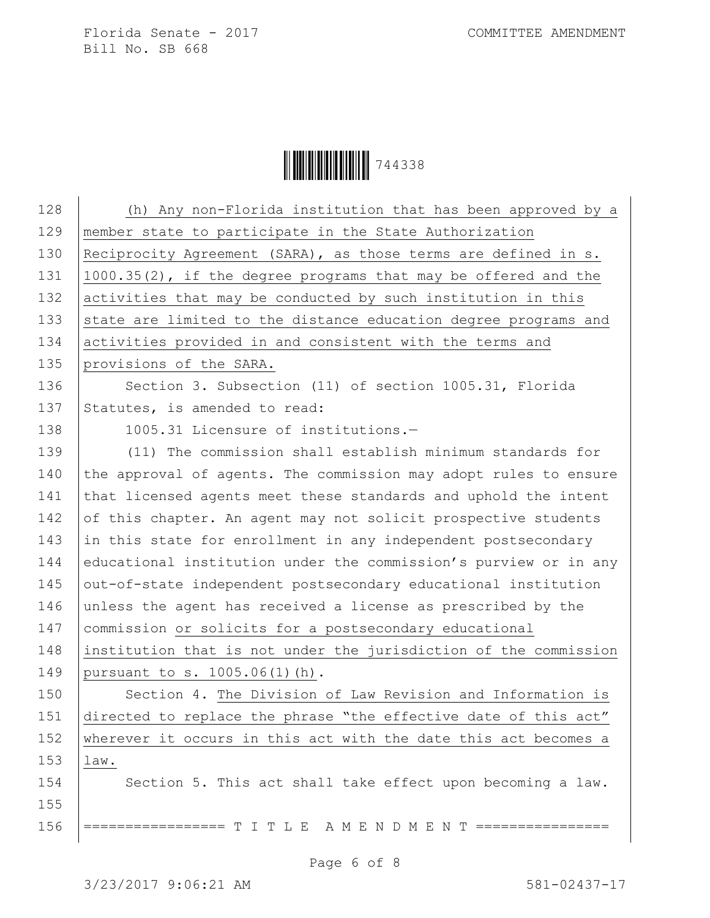| 128 | (h) Any non-Florida institution that has been approved by a      |
|-----|------------------------------------------------------------------|
| 129 | member state to participate in the State Authorization           |
| 130 | Reciprocity Agreement (SARA), as those terms are defined in s.   |
| 131 | 1000.35(2), if the degree programs that may be offered and the   |
| 132 | activities that may be conducted by such institution in this     |
| 133 | state are limited to the distance education degree programs and  |
| 134 | activities provided in and consistent with the terms and         |
| 135 | provisions of the SARA.                                          |
| 136 | Section 3. Subsection (11) of section 1005.31, Florida           |
| 137 | Statutes, is amended to read:                                    |
| 138 | 1005.31 Licensure of institutions.-                              |
| 139 | (11) The commission shall establish minimum standards for        |
| 140 | the approval of agents. The commission may adopt rules to ensure |
| 141 | that licensed agents meet these standards and uphold the intent  |
| 142 | of this chapter. An agent may not solicit prospective students   |
| 143 | in this state for enrollment in any independent postsecondary    |
| 144 | educational institution under the commission's purview or in any |
| 145 | out-of-state independent postsecondary educational institution   |
| 146 | unless the agent has received a license as prescribed by the     |
| 147 | commission or solicits for a postsecondary educational           |
| 148 | institution that is not under the jurisdiction of the commission |
| 149 | pursuant to s. 1005.06(1)(h).                                    |
| 150 | Section 4. The Division of Law Revision and Information is       |
| 151 | directed to replace the phrase "the effective date of this act"  |
| 152 | wherever it occurs in this act with the date this act becomes a  |
| 153 | law.                                                             |
| 154 | Section 5. This act shall take effect upon becoming a law.       |
| 155 |                                                                  |
| 156 | ========== T I T L E A M E N D M E N T ================          |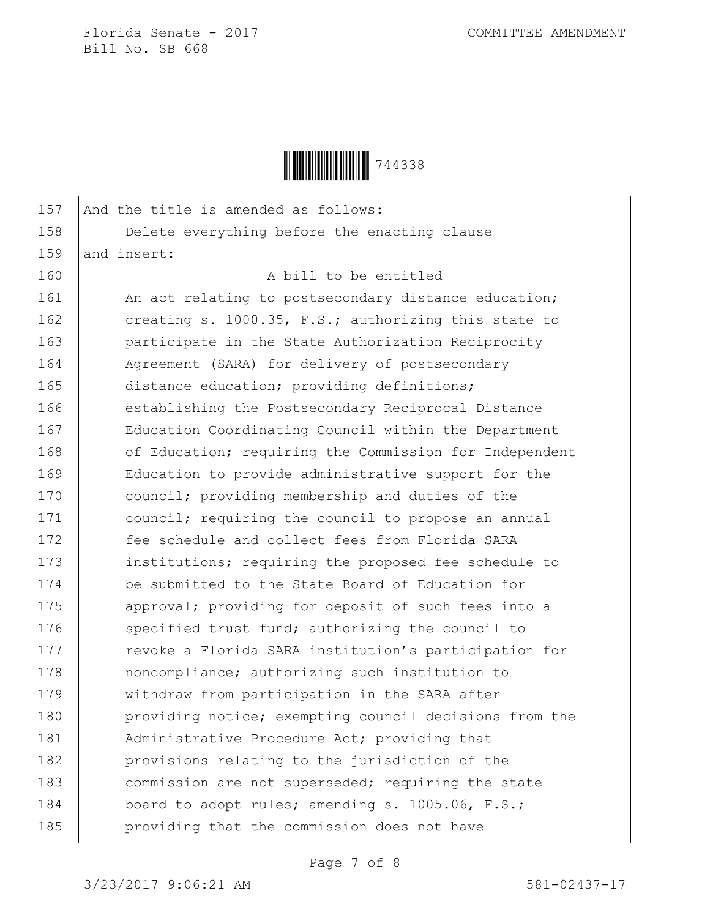

| 157 | And the title is amended as follows:                   |
|-----|--------------------------------------------------------|
| 158 | Delete everything before the enacting clause           |
| 159 | and insert:                                            |
| 160 | A bill to be entitled                                  |
| 161 | An act relating to postsecondary distance education;   |
| 162 | creating s. 1000.35, F.S.; authorizing this state to   |
| 163 | participate in the State Authorization Reciprocity     |
| 164 | Agreement (SARA) for delivery of postsecondary         |
| 165 | distance education; providing definitions;             |
| 166 | establishing the Postsecondary Reciprocal Distance     |
| 167 | Education Coordinating Council within the Department   |
| 168 | of Education; requiring the Commission for Independent |
| 169 | Education to provide administrative support for the    |
| 170 | council; providing membership and duties of the        |
| 171 | council; requiring the council to propose an annual    |
| 172 | fee schedule and collect fees from Florida SARA        |
| 173 | institutions; requiring the proposed fee schedule to   |
| 174 | be submitted to the State Board of Education for       |
| 175 | approval; providing for deposit of such fees into a    |
| 176 | specified trust fund; authorizing the council to       |
| 177 | revoke a Florida SARA institution's participation for  |
| 178 | noncompliance; authorizing such institution to         |
| 179 | withdraw from participation in the SARA after          |
| 180 | providing notice; exempting council decisions from the |
| 181 | Administrative Procedure Act; providing that           |
| 182 | provisions relating to the jurisdiction of the         |
| 183 | commission are not superseded; requiring the state     |
| 184 | board to adopt rules; amending s. 1005.06, F.S.;       |
| 185 | providing that the commission does not have            |
|     |                                                        |